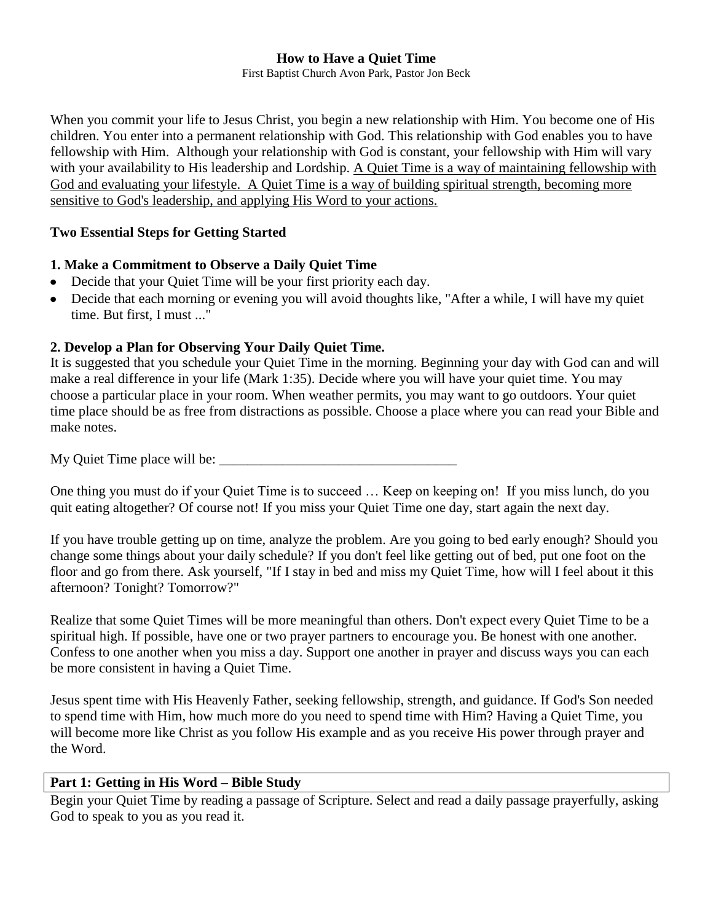## **How to Have a Quiet Time**

First Baptist Church Avon Park, Pastor Jon Beck

When you commit your life to Jesus Christ, you begin a new relationship with Him. You become one of His children. You enter into a permanent relationship with God. This relationship with God enables you to have fellowship with Him. Although your relationship with God is constant, your fellowship with Him will vary with your availability to His leadership and Lordship. A Quiet Time is a way of maintaining fellowship with God and evaluating your lifestyle. A Quiet Time is a way of building spiritual strength, becoming more sensitive to God's leadership, and applying His Word to your actions.

## **Two Essential Steps for Getting Started**

## **1. Make a Commitment to Observe a Daily Quiet Time**

- Decide that your Quiet Time will be your first priority each day.
- Decide that each morning or evening you will avoid thoughts like, "After a while, I will have my quiet time. But first, I must ..."

# **2. Develop a Plan for Observing Your Daily Quiet Time.**

It is suggested that you schedule your Quiet Time in the morning. Beginning your day with God can and will make a real difference in your life (Mark 1:35). Decide where you will have your quiet time. You may choose a particular place in your room. When weather permits, you may want to go outdoors. Your quiet time place should be as free from distractions as possible. Choose a place where you can read your Bible and make notes.

My Quiet Time place will be:

One thing you must do if your Quiet Time is to succeed … Keep on keeping on! If you miss lunch, do you quit eating altogether? Of course not! If you miss your Quiet Time one day, start again the next day.

If you have trouble getting up on time, analyze the problem. Are you going to bed early enough? Should you change some things about your daily schedule? If you don't feel like getting out of bed, put one foot on the floor and go from there. Ask yourself, "If I stay in bed and miss my Quiet Time, how will I feel about it this afternoon? Tonight? Tomorrow?"

Realize that some Quiet Times will be more meaningful than others. Don't expect every Quiet Time to be a spiritual high. If possible, have one or two prayer partners to encourage you. Be honest with one another. Confess to one another when you miss a day. Support one another in prayer and discuss ways you can each be more consistent in having a Quiet Time.

Jesus spent time with His Heavenly Father, seeking fellowship, strength, and guidance. If God's Son needed to spend time with Him, how much more do you need to spend time with Him? Having a Quiet Time, you will become more like Christ as you follow His example and as you receive His power through prayer and the Word.

#### **Part 1: Getting in His Word – Bible Study**

Begin your Quiet Time by reading a passage of Scripture. Select and read a daily passage prayerfully, asking God to speak to you as you read it.